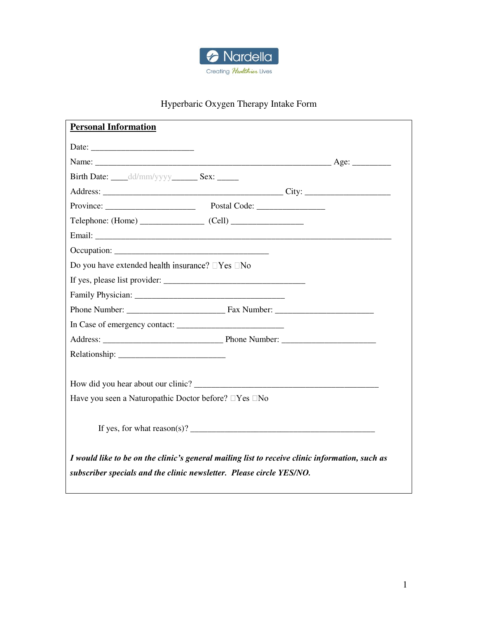

# Hyperbaric Oxygen Therapy Intake Form

| Birth Date: ______ dd/mm/yyyy__________ Sex: _______<br>$Telephone: (Home)$ $(Cell)$<br>Do you have extended health insurance? $\Box$ Yes $\Box$ No<br>If yes, please list provider: |
|--------------------------------------------------------------------------------------------------------------------------------------------------------------------------------------|
|                                                                                                                                                                                      |
|                                                                                                                                                                                      |
|                                                                                                                                                                                      |
|                                                                                                                                                                                      |
|                                                                                                                                                                                      |
|                                                                                                                                                                                      |
|                                                                                                                                                                                      |
|                                                                                                                                                                                      |
|                                                                                                                                                                                      |
|                                                                                                                                                                                      |
|                                                                                                                                                                                      |
|                                                                                                                                                                                      |
|                                                                                                                                                                                      |
|                                                                                                                                                                                      |
|                                                                                                                                                                                      |
|                                                                                                                                                                                      |
|                                                                                                                                                                                      |
| Have you seen a Naturopathic Doctor before? □Yes □No                                                                                                                                 |
|                                                                                                                                                                                      |
| If yes, for what $reason(s)$ ?                                                                                                                                                       |
|                                                                                                                                                                                      |
| I would like to be on the clinic's general mailing list to receive clinic information, such as                                                                                       |
| subscriber specials and the clinic newsletter. Please circle YES/NO.                                                                                                                 |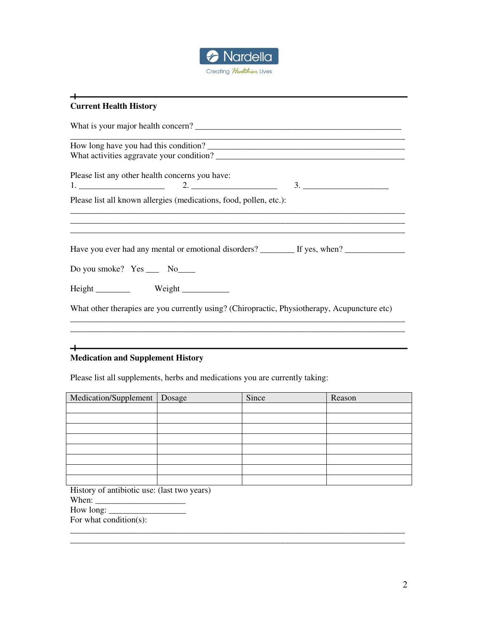

# **Current Health History**  What is your major health concern? \_\_\_\_\_\_\_\_\_\_\_\_\_\_\_\_\_\_\_\_\_\_\_\_\_\_\_\_\_\_\_\_\_\_\_\_\_\_\_\_\_\_\_\_\_\_\_\_ \_\_\_\_\_\_\_\_\_\_\_\_\_\_\_\_\_\_\_\_\_\_\_\_\_\_\_\_\_\_\_\_\_\_\_\_\_\_\_\_\_\_\_\_\_\_\_\_\_\_\_\_\_\_\_\_\_\_\_\_\_\_\_\_\_\_\_\_\_\_\_\_\_\_\_\_\_\_ How long have you had this condition? \_\_\_\_\_\_\_\_\_\_\_\_\_\_\_\_\_\_\_\_\_\_\_\_\_\_\_\_\_\_\_\_\_\_\_\_\_\_\_\_\_\_\_\_\_\_ What activities aggravate your condition? Please list any other health concerns you have: 1.  $\frac{1}{2}$   $\frac{1}{2}$   $\frac{1}{2}$   $\frac{1}{2}$   $\frac{1}{2}$   $\frac{1}{2}$   $\frac{1}{2}$   $\frac{1}{2}$   $\frac{1}{2}$   $\frac{1}{2}$   $\frac{1}{2}$   $\frac{1}{2}$   $\frac{1}{2}$   $\frac{1}{2}$   $\frac{1}{2}$   $\frac{1}{2}$   $\frac{1}{2}$   $\frac{1}{2}$   $\frac{1}{2}$   $\frac{1}{2}$   $\frac{1}{2}$   $\frac{1}{2}$ Please list all known allergies (medications, food, pollen, etc.): \_\_\_\_\_\_\_\_\_\_\_\_\_\_\_\_\_\_\_\_\_\_\_\_\_\_\_\_\_\_\_\_\_\_\_\_\_\_\_\_\_\_\_\_\_\_\_\_\_\_\_\_\_\_\_\_\_\_\_\_\_\_\_\_\_\_\_\_\_\_\_\_\_\_\_\_\_\_ Have you ever had any mental or emotional disorders? \_\_\_\_\_\_\_\_ If yes, when? \_\_\_\_\_\_\_\_\_\_\_\_\_\_\_\_\_\_\_\_\_\_\_ Do you smoke? Yes \_\_\_ No\_\_\_\_  $Height \_\_\_\_\_\_\_\_\_\_\_\_\_\_\_\_\_\_\_\_$ What other therapies are you currently using? (Chiropractic, Physiotherapy, Acupuncture etc) \_\_\_\_\_\_\_\_\_\_\_\_\_\_\_\_\_\_\_\_\_\_\_\_\_\_\_\_\_\_\_\_\_\_\_\_\_\_\_\_\_\_\_\_\_\_\_\_\_\_\_\_\_\_\_\_\_\_\_\_\_\_\_\_\_\_\_\_\_\_\_\_\_\_\_\_\_\_

### **Medication and Supplement History**

 $+$ 

 $+$ 

Please list all supplements, herbs and medications you are currently taking:

| Medication/Supplement   Dosage | Since | Reason |
|--------------------------------|-------|--------|
|                                |       |        |
|                                |       |        |
|                                |       |        |
|                                |       |        |
|                                |       |        |
|                                |       |        |
|                                |       |        |
|                                |       |        |

\_\_\_\_\_\_\_\_\_\_\_\_\_\_\_\_\_\_\_\_\_\_\_\_\_\_\_\_\_\_\_\_\_\_\_\_\_\_\_\_\_\_\_\_\_\_\_\_\_\_\_\_\_\_\_\_\_\_\_\_\_\_\_\_\_\_\_\_\_\_\_\_\_\_\_\_\_\_ \_\_\_\_\_\_\_\_\_\_\_\_\_\_\_\_\_\_\_\_\_\_\_\_\_\_\_\_\_\_\_\_\_\_\_\_\_\_\_\_\_\_\_\_\_\_\_\_\_\_\_\_\_\_\_\_\_\_\_\_\_\_\_\_\_\_\_\_\_\_\_\_\_\_\_\_\_\_

History of antibiotic use: (last two years) When: \_\_\_\_\_\_\_\_\_\_\_\_\_\_\_\_\_\_\_\_\_ How long: \_\_\_\_\_\_\_\_\_\_\_\_\_\_\_\_\_\_

For what condition(s):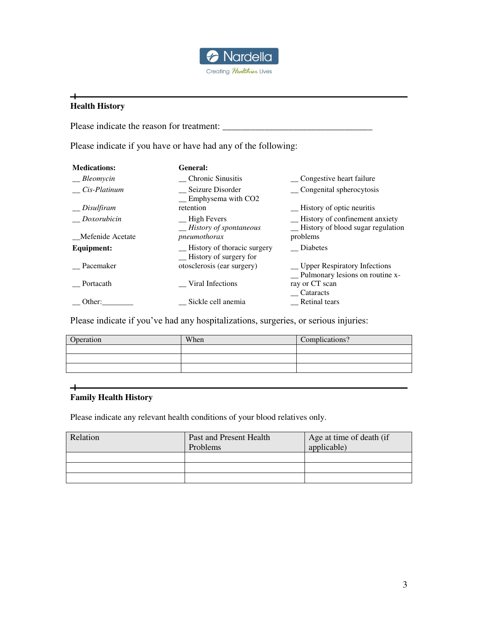

# **Health History**

 $+$ 

Please indicate the reason for treatment: \_\_\_\_\_\_\_\_\_\_\_\_\_\_\_\_\_\_\_\_\_\_\_\_\_\_\_\_\_\_\_\_

Please indicate if you have or have had any of the following:

| <b>Medications:</b> | General:                                                |                                                                      |
|---------------------|---------------------------------------------------------|----------------------------------------------------------------------|
| Bleomycin           | Chronic Sinusitis                                       | _ Congestive heart failure                                           |
| Cis-Platinum        | Seizure Disorder<br>$\equiv$ Emphysema with CO2         | Congenital spherocytosis                                             |
| $\equiv$ Disulfiram | retention                                               | -History of optic neuritis                                           |
| Doxorubicin         | $\equiv$ High Fevers<br>$\equiv$ History of spontaneous | History of confinement anxiety<br>-History of blood sugar regulation |
| Mefenide Acetate    | pneumothorax                                            | problems                                                             |
| <b>Equipment:</b>   | -History of thoracic surgery<br>-History of surgery for | Diabetes                                                             |
| Pacemaker           | otosclerosis (ear surgery)                              | _ Upper Respiratory Infections<br>- Pulmonary lesions on routine x-  |
| Portacath           | Viral Infections                                        | ray or CT scan<br>Cataracts                                          |
| Other:              | Sickle cell anemia                                      | Retinal tears                                                        |

Please indicate if you've had any hospitalizations, surgeries, or serious injuries:

| Operation | When | Complications? |
|-----------|------|----------------|
|           |      |                |
|           |      |                |
|           |      |                |

## **Family Health History**

 $\ddot{}$ 

Please indicate any relevant health conditions of your blood relatives only.

| Relation | Past and Present Health<br>Problems | Age at time of death (if<br>applicable) |
|----------|-------------------------------------|-----------------------------------------|
|          |                                     |                                         |
|          |                                     |                                         |
|          |                                     |                                         |